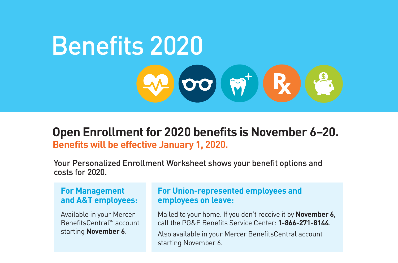

### **Benefits will be effective January 1, 2020. Open Enrollment for 2020 benefits is November 6–20.**

Your Personalized Enrollment Worksheet shows your benefit options and costs for 2020.

#### **For Management and A&T employees:**

Available in your Mercer BenefitsCentral™ account starting **November 6**.

#### **For Union-represented employees and employees on leave:**

Mailed to your home. If you don't receive it by **November 6**, call the PG&E Benefits Service Center: **1-866-271-8144**.

Also available in your Mercer BenefitsCentral account starting November 6.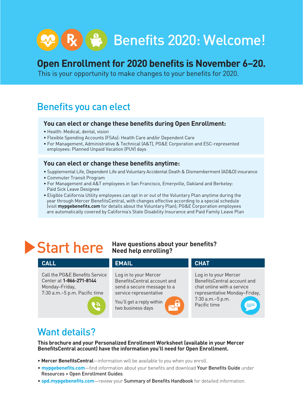# R (  $\bullet$  ) Benefits 2020: Welcome!

## **Open Enrollment for 2020 benefits is November 6–20.**

This is your opportunity to make changes to your benefits for 2020.

## Benefits you can elect

#### **You can elect or change these benefits during Open Enrollment:**

- Health: Medical, dental, vision
- Flexible Spending Accounts (FSAs): Health Care and/or Dependent Care
- For Management, Administrative & Technical (A&T), PG&E Corporation and ESC-represented employees: Planned Unpaid Vacation (PUV) days

#### **You can elect or change these benefits anytime:**

- Supplemental Life, Dependent Life and Voluntary Accidental Death & Dismemberment (AD&D) insurance
- Commuter Transit Program
- For Management and A&T employees in San Francisco, Emeryville, Oakland and Berkeley: Paid Sick Leave Designee
- Eligible California Utility employees can opt in or out of the Voluntary Plan anytime during the year through Mercer BenefitsCentral, with changes effective according to a special schedule (visit **mypgebenefits.com** for details about the Voluntary Plan); PG&E Corporation employees are automatically covered by California's State Disability Insurance and Paid Family Leave Plan

#### **Start here** Have questions about your benefits? **Need help enrolling?**

#### **CALL EMAIL** Call the PG&E Benefits Service Center at **1-866-271-8144** Monday–Friday, 7:30 a.m.–5 p.m. Pacific time Log in to your Mercer BenefitsCentral account and send a secure message to a service representative You'll get a reply within two business days Log in to your Mercer BenefitsCentral account and chat online with a service representative Monday–Friday, 7:30 a.m.–5 p.m. Pacific time **CHAT**

## Want details?

**This brochure and your Personalized Enrollment Worksheet (available in your Mercer BenefitsCentral account) have the information you'll need for Open Enrollment.** 

- **Mercer BenefitsCentral**—information will be available to you when you enroll.
- **mypgebenefits.com**—find information about your benefits and download Your Benefits Guide under Resources > Open Enrollment Guides.
- **spd.mypgebenefits.com**—review your Summary of Benefits Handbook for detailed information.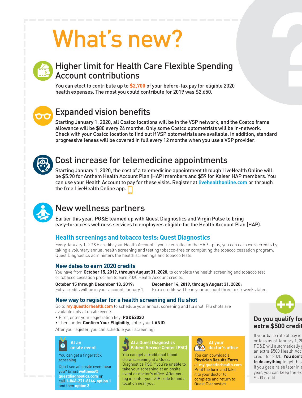# What's new?



## Higher limit for Health Care Flexible Spending Account contributions

You can elect to contribute up to **\$2,700** of your before-tax pay for eligible 2020 health expenses. The most you could contribute for 2019 was \$2,650.



## Expanded vision benefits

Starting January 1, 2020, all Costco locations will be in the VSP network, and the Costco frame allowance will be \$80 every 24 months. Only some Costco optometrists will be in-network. Check with your Costco location to find out if VSP optometrists are available. In addition, standard progressive lenses will be covered in full every 12 months when you use a VSP provider.



## Cost increase for telemedicine appointments

Starting January 1, 2020, the cost of a telemedicine appointment through LiveHealth Online will be \$5.90 for Anthem Health Account Plan (HAP) members and \$59 for Kaiser HAP members. You can use your Health Account to pay for these visits. Register at **livehealthonline.com** or through the free LiveHealth Online app.



## New wellness partners

Earlier this year, PG&E teamed up with Quest Diagnostics and Virgin Pulse to bring easy-to-access wellness services to employees eligible for the Health Account Plan (HAP).

#### **Health screenings and tobacco tests: Quest Diagnostics**

Every January 1, PG&E credits your Health Account if you're enrolled in the HAP—plus, you can earn extra credits by taking a voluntary annual health screening and testing tobacco-free or completing the tobacco cessation program. Quest Diagnostics administers the health screenings and tobacco tests.

#### **New dates to earn 2020 credits**

You have from **October 15, 2019, through August 31, 2020**, to complete the health screening and tobacco test or tobacco cessation program to earn 2020 Health Account credits.

**October 15 through December 13, 2019: December 14, 2019, through August 31, 2020:**

Extra credits will be in your account January 1. Extra credits will be in your account three to six weeks later.

#### **New way to register for a health screening and flu shot**

Go to **my.questforhealth.com** to schedule your annual screening and flu shot. Flu shots are available only at onsite events.

- First, enter your registration key: **PG&E2020**
- Then, under **Confirm Your Eligibility**, enter your **LANID**.

After you register, you can schedule your screening:



You can get a fingerstick screening.

Don't see an onsite event near you? Email **wellness@ questdiagnostics.com** or call **1-866-271-8144**, **option 1** and then **option 3**.



You can get a traditional blood draw screening at a Quest Diagnostics PSC if you're unable to take your screening at an onsite event or doctor's office. After you log in, enter your ZIP code to find a location near you.



You can download a **Physician Results Form** at **my.questforhealth.com**. Print the form and take it to your doctor to complete and return to Quest Diagnostics.



### **Do you qualify for extra \$500 credit?**

If your base rate of pay is or less as of January 1, 2 PG&E will automatically an extra \$500 Health Acc credit for 2020. You don't **to do anything** to get this If you get a raise later in t year, you can keep the ex \$500 credit.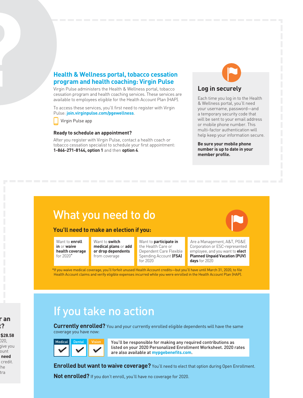#### **Health & Wellness portal, tobacco cessation program and health coaching: Virgin Pulse**

Virgin Pulse administers the Health & Wellness portal, tobacco cessation program and health coaching services. These services are available to employees eligible for the Health Account Plan (HAP).

To access these services, you'll first need to register with Virgin Pulse: **join.virginpulse.com/pgewellness**.

Virgin Pulse app

#### **Ready to schedule an appointment?**

After you register with Virgin Pulse, contact a health coach or tobacco cessation specialist to schedule your first appointment: **1-866-271-8144, option 1** and then **option 4**.



#### **Log in securely**

Each time you log in to the Health & Wellness portal, you'll need your username, password—and a temporary security code that will be sent to your email address or mobile phone number. This multi-factor authentication will help keep your information secure.

**Be sure your mobile phone number is up to date in your member profile.**

## What you need to do

#### **You'll need to make an election if you:**

Want to **enroll in** or **waive health coverage** for 2020\*

Want to **switch medical plans** or **add or drop dependents** from coverage

Want to **participate in**  the Health Care or Dependent Care Flexible Spending Account **(FSA)** for 2020



Are a Management, A&T, PG&E Corporation or ESC-represented employee, and you want to **elect Planned Unpaid Vacation (PUV) days** for 2020

\*If you waive medical coverage, you'll forfeit unused Health Account credits—but you'll have until March 31, 2020, to file Health Account claims and verify eligible expenses incurred while you were enrolled in the Health Account Plan (HAP).

## If you take no action

**Currently enrolled?** You and your currently enrolled eligible dependents will have the same coverage you have now:

| <b>Medical</b> | <b>Dental</b> | 'ision |  |
|----------------|---------------|--------|--|
|                |               |        |  |

You'll be responsible for making any required contributions as listed on your 2020 Personalized Enrollment Worksheet. 2020 rates are also available at **mypgebenefits.com**.

**Enrolled but want to waive coverage?** You'll need to elect that option during Open Enrollment.

**Not enrolled?** If you don't enroll, you'll have no coverage for 2020.

r an  $\cdot$ ?

If your base rate of pay is **\$28.58**   $220,$ give you ount need credit. :he tra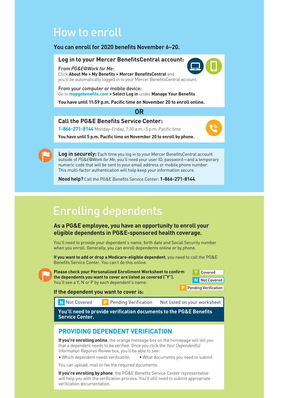## How to enroll

#### **You can enroll for 2020 benefits November 6–20.**

#### **Log in to your Mercer BenefitsCentral account:**

From *PG&E@Work for Me*:

Click **About Me > My Benefits > Mercer BenefitsCentral** and you'll be automatically logged in to your Mercer BenefitsCentral account.

From your computer or mobile device: Go to **mypgebenefits.com > Select Log in** under **Manage Your Benefits**.

**You have until 11:59 p.m. Pacific time on November 20 to enroll online.**

#### **OR**

#### **Call the PG&E Benefits Service Center:**

**1-866-271-8144** Monday–Friday, 7:30 a.m.–5 p.m. Pacific time



**You have until 5 p.m. Pacific time on November 20 to enroll by phone.**

**Log in securely:** Each time you log in to your Mercer BenefitsCentral account outside of *PG&E@Work for Me*, you'll need your user ID, password—and a temporary numeric code that will be sent to your email address or mobile phone number. This multi-factor authentication will help keep your information secure.

**Need help?** Call the PG&E Benefits Service Center: **1-866-271-8144**.

## Enrolling dependents

#### **As a PG&E employee, you have an opportunity to enroll your eligible dependents in PG&E-sponsored health coverage.**

You'll need to provide your dependent's name, birth date and Social Security number when you enroll. Generally, you can enroll dependents online or by phone.

**If you want to add or drop a Medicare-eligible dependent**, you need to call the PG&E Benefits Service Center. You can't do this online.

**Please check your Personalized Enrollment Worksheet to confirm the dependents you want to cover are listed as covered ("Y").** You'll see a Y, N or P by each dependent's name:



#### **If the dependent you want to cover is:**

**N** Not Covered

**P** Pending Verification

P Pending Verification Not listed on your worksheet

**You'll need to provide verification documents to the PG&E Benefits Service Center.**

#### **PROVIDING DEPENDENT VERIFICATION**

**If you're enrolling online**, the orange message box on the homepage will tell you that a dependent needs to be verified. Once you click the *Your Dependent(s) Information Requires Review* box, you'll be able to see:

• Which dependent needs verification • What documents you need to submit

You can upload, mail or fax the required documents.

**If you're enrolling by phone**, the PG&E Benefits Service Center representative will help you with the verification process. You'll still need to submit appropriate verification documentation.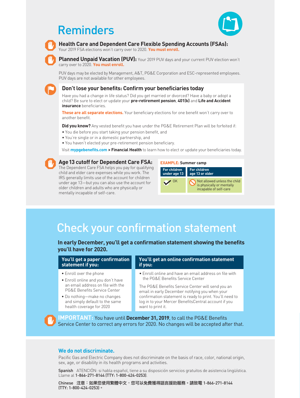## Reminders





**Health Care and Dependent Care Flexible Spending Accounts (FSAs):** 

Your 2019 FSA elections won't carry over to 2020. **You must enroll.**

**Planned Unpaid Vacation (PUV):** Your 2019 PUV days and your current PUV election won't carry over to 2020. **You must enroll.**

PUV days may be elected by Management, A&T, PG&E Corporation and ESC-represented employees. PUV days are not available for other employees.

**Don't lose your benefits: Confirm your beneficiaries today**

Have you had a change in life status? Did you get married or divorced? Have a baby or adopt a child? Be sure to elect or update your **pre-retirement pension**, **401(k)** and **Life and Accident insurance** beneficiaries.

**These are all separate elections.** Your beneficiary elections for one benefit won't carry over to another benefit.

**Did you know?** Any vested benefit you have under the PG&E Retirement Plan will be forfeited if:

- You die before you start taking your pension benefit, and
- You're single or in a domestic partnership, and
- You haven't elected your pre-retirement pension beneficiary.

Visit **mypgebenefits.com > Financial Health** to learn how to elect or update your beneficiaries today.



#### **Age13 cutoff for Dependent Care FSA:**

The Dependent Care FSA helps you pay for qualifying child and elder care expenses while you work. The IRS generally limits use of the account for children under age 13—but you can also use the account for older children and adults who are physically or mentally incapable of self-care.



## Check your confirmation statement

**In early December, you'll get a confirmation statement showing the benefits you'll have for 2020.**

**You'll get a paper confirmation statement if you:**

- Enroll over the phone
- Enroll online and you don't have an email address on file with the PG&E Benefits Service Center
- Do nothing—make no changes and simply default to the same health coverage for 2020

#### **You'll get an online confirmation statement if you:**

• Enroll online and have an email address on file with the PG&E Benefits Service Center

The PG&E Benefits Service Center will send you an email in early December notifying you when your confirmation statement is ready to print. You'll need to log in to your Mercer BenefitsCentral account if you want to print it.

**IMPORTANT:** You have until **December 31, 2019**, to call the PG&E Benefits Service Center to correct any errors for 2020. No changes will be accepted after that.

#### **We do not discriminate.**

Pacific Gas and Electric Company does not discriminate on the basis of race, color, national origin, sex, age, or disability in its health programs and activities.

Spanish ATENCIÓN: si habla español, tiene a su disposición servicios gratuitos de asistencia lingüística. Llame al 1-866-271-8144 (TTY: 1-800-424-0253).

Chinese 注意:如果您使用繁體中文,您可以免費獲得語言援助服務。請致電 1-866-271-8144 (TTY: 1-800-424-0253)。